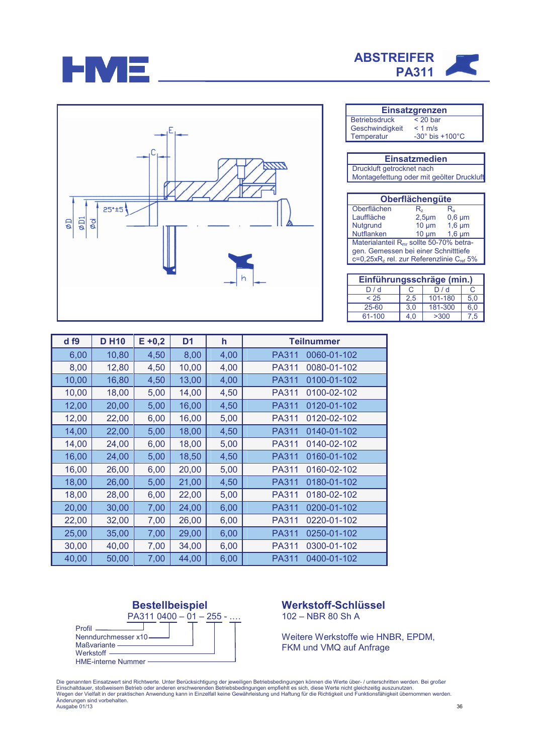





| <b>Einsatzgrenzen</b> |                                |  |  |  |
|-----------------------|--------------------------------|--|--|--|
| Betriebsdruck         | $< 20$ bar                     |  |  |  |
| Geschwindigkeit       | $< 1$ m/s                      |  |  |  |
| Temperatur            | $-30^\circ$ bis $+100^\circ$ C |  |  |  |

| <b>Einsatzmedien</b>                     |  |  |
|------------------------------------------|--|--|
| Druckluft getrocknet nach                |  |  |
| Montagefettung oder mit geölter Druckluf |  |  |

| Oberflächengüte                                                  |                  |             |  |  |  |
|------------------------------------------------------------------|------------------|-------------|--|--|--|
| Oberflächen                                                      | R,               | R,          |  |  |  |
| Lauffläche                                                       | 2.5 <sub>µ</sub> | $0,6 \mu m$ |  |  |  |
| Nutgrund                                                         | $10 \mu m$       | $1,6 \mu m$ |  |  |  |
| <b>Nutflanken</b>                                                | $10 \mu m$       | $1,6 \mu m$ |  |  |  |
| Materialanteil R <sub>mr</sub> sollte 50-70% betra-              |                  |             |  |  |  |
| gen. Gemessen bei einer Schnitttiefe                             |                  |             |  |  |  |
| c=0,25xR <sub>z</sub> rel. zur Referenzlinie C <sub>ref</sub> 5% |                  |             |  |  |  |

| Einführungsschräge (min.) |     |         |     |  |  |  |
|---------------------------|-----|---------|-----|--|--|--|
| D/d                       |     | D/d     |     |  |  |  |
| < 25                      | 2,5 | 101-180 | 5.0 |  |  |  |
| 25-60                     | 3.0 | 181-300 | 6.0 |  |  |  |
| 61-100                    | 4.0 | >300    | 7.5 |  |  |  |

| df9   | <b>DH10</b> | $E + 0,2$ | D <sub>1</sub> | h    | <b>Teilnummer</b>           |
|-------|-------------|-----------|----------------|------|-----------------------------|
| 6,00  | 10,80       | 4,50      | 8,00           | 4,00 | 0060-01-102<br><b>PA311</b> |
| 8,00  | 12,80       | 4,50      | 10,00          | 4,00 | <b>PA311</b><br>0080-01-102 |
| 10,00 | 16,80       | 4,50      | 13,00          | 4,00 | 0100-01-102<br>PA311        |
| 10,00 | 18,00       | 5,00      | 14,00          | 4,50 | PA311<br>0100-02-102        |
| 12,00 | 20,00       | 5,00      | 16,00          | 4,50 | PA311<br>0120-01-102        |
| 12,00 | 22,00       | 6,00      | 16,00          | 5,00 | <b>PA311</b><br>0120-02-102 |
| 14,00 | 22,00       | 5,00      | 18,00          | 4,50 | PA311<br>0140-01-102        |
| 14,00 | 24,00       | 6,00      | 18,00          | 5,00 | PA311<br>0140-02-102        |
| 16,00 | 24,00       | 5,00      | 18,50          | 4,50 | 0160-01-102<br>PA311        |
| 16,00 | 26,00       | 6,00      | 20,00          | 5,00 | PA311<br>0160-02-102        |
| 18,00 | 26,00       | 5,00      | 21,00          | 4,50 | PA311<br>0180-01-102        |
| 18,00 | 28,00       | 6,00      | 22,00          | 5,00 | <b>PA311</b><br>0180-02-102 |
| 20,00 | 30,00       | 7,00      | 24,00          | 6,00 | PA311<br>0200-01-102        |
| 22,00 | 32,00       | 7,00      | 26,00          | 6,00 | <b>PA311</b><br>0220-01-102 |
| 25,00 | 35,00       | 7,00      | 29,00          | 6,00 | <b>PA311</b><br>0250-01-102 |
| 30,00 | 40,00       | 7,00      | 34,00          | 6,00 | <b>PA311</b><br>0300-01-102 |
| 40,00 | 50,00       | 7,00      | 44,00          | 6,00 | 0400-01-102<br>PA311        |



Werkstoff-Schlüssel 102 - NBR 80 Sh A

Weitere Werkstoffe wie HNBR, EPDM, FKM und VMQ auf Anfrage

Die genannten Einsatzwert sind Richtwerte. Unter Berücksichtigung der jeweiligen Betriebsbedingungen können die Werte über- / unterschritten werden. Bei großer<br>Einschaltdauer, stoßweisem Betrieb oder anderen erschwerenden Anderungen sind vorbehalten.<br>Ausgabe 01/13